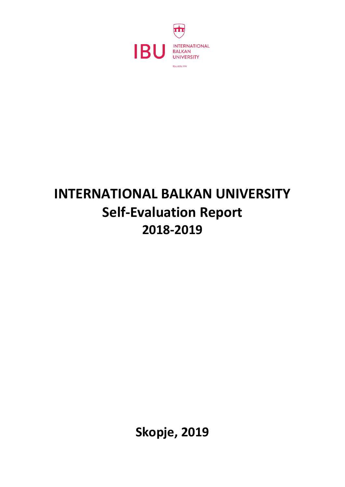

# **INTERNATIONAL BALKAN UNIVERSITY Self-Evaluation Report 2018-2019**

**Skopje, 2019**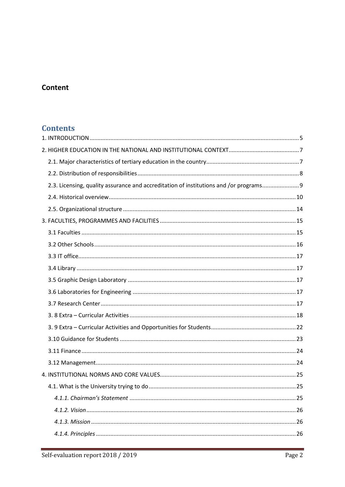# Content

## **Contents**

| 2.3. Licensing, quality assurance and accreditation of institutions and /or programs 9 |  |
|----------------------------------------------------------------------------------------|--|
|                                                                                        |  |
|                                                                                        |  |
|                                                                                        |  |
|                                                                                        |  |
|                                                                                        |  |
|                                                                                        |  |
|                                                                                        |  |
|                                                                                        |  |
|                                                                                        |  |
|                                                                                        |  |
|                                                                                        |  |
|                                                                                        |  |
|                                                                                        |  |
|                                                                                        |  |
|                                                                                        |  |
|                                                                                        |  |
|                                                                                        |  |
|                                                                                        |  |
|                                                                                        |  |
|                                                                                        |  |
|                                                                                        |  |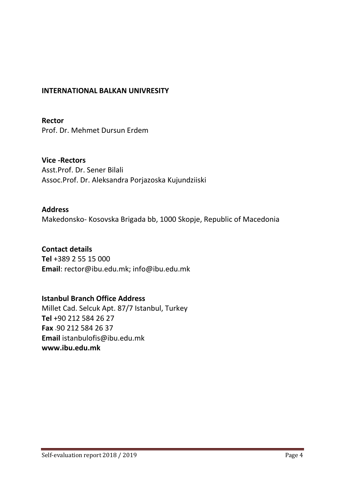## **INTERNATIONAL BALKAN UNIVRESITY**

**Rector**  Prof. Dr. Mehmet Dursun Erdem

**Vice -Rectors**  Asst.Prof. Dr. Sener Bilali Assoc.Prof. Dr. Aleksandra Porjazoska Kujundziiski

## **Address**

Makedonsko- Kosovska Brigada bb, 1000 Skopje, Republic of Macedonia

## **Contact details**

**Tel** +389 2 55 15 000 **Email**: rector@ibu.edu.mk; info@ibu.edu.mk

## **Istanbul Branch Office Address**

Millet Cad. Selcuk Apt. 87/7 Istanbul, Turkey **Tel** +90 212 584 26 27 **Fax** +90 212 584 26 37 **Email** istanbulofis@ibu.edu.mk **www.ibu.edu.mk**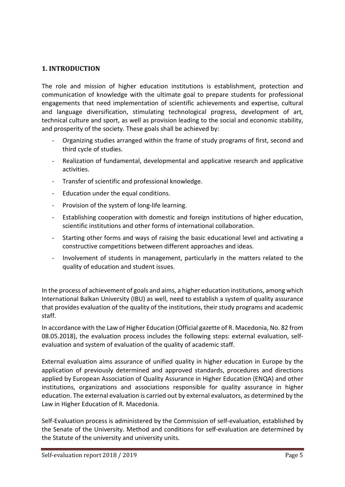### <span id="page-4-0"></span>**1. INTRODUCTION**

The role and mission of higher education institutions is establishment, protection and communication of knowledge with the ultimate goal to prepare students for professional engagements that need implementation of scientific achievements and expertise, cultural and language diversification, stimulating technological progress, development of art, technical culture and sport, as well as provision leading to the social and economic stability, and prosperity of the society. These goals shall be achieved by:

- Organizing studies arranged within the frame of study programs of first, second and third cycle of studies.
- Realization of fundamental, developmental and applicative research and applicative activities.
- Transfer of scientific and professional knowledge.
- Education under the equal conditions.
- Provision of the system of long-life learning.
- Establishing cooperation with domestic and foreign institutions of higher education, scientific institutions and other forms of international collaboration.
- Starting other forms and ways of raising the basic educational level and activating a constructive competitions between different approaches and ideas.
- Involvement of students in management, particularly in the matters related to the quality of education and student issues.

In the process of achievement of goals and aims, a higher education institutions, among which International Balkan University (IBU) as well, need to establish a system of quality assurance that provides evaluation of the quality of the institutions, their study programs and academic staff.

In accordance with the Law of Higher Education (Official gazette of R. Macedonia, No. 82 from 08.05.2018), the evaluation process includes the following steps: external evaluation, selfevaluation and system of evaluation of the quality of academic staff.

External evaluation aims assurance of unified quality in higher education in Europe by the application of previously determined and approved standards, procedures and directions applied by European Association of Quality Assurance in Higher Education (ENQA) and other institutions, organizations and associations responsible for quality assurance in higher education. The external evaluation is carried out by external evaluators, as determined by the Law in Higher Education of R. Macedonia.

Self-Evaluation process is administered by the Commission of self-evaluation, established by the Senate of the University. Method and conditions for self-evaluation are determined by the Statute of the university and university units.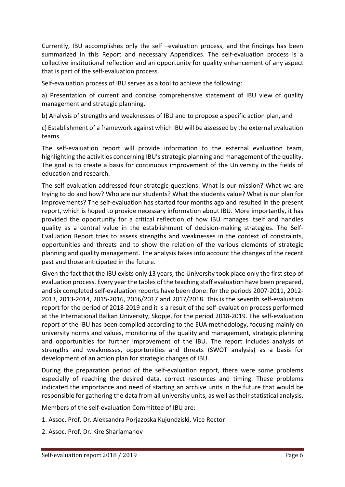Currently, IBU accomplishes only the self –evaluation process, and the findings has been summarized in this Report and necessary Appendices. The self-evaluation process is a collective institutional reflection and an opportunity for quality enhancement of any aspect that is part of the self-evaluation process.

Self-evaluation process of IBU serves as a tool to achieve the following:

a) Presentation of current and concise comprehensive statement of IBU view of quality management and strategic planning.

b) Analysis of strengths and weaknesses of IBU and to propose a specific action plan, and

c) Establishment of a framework against which IBU will be assessed by the external evaluation teams.

The self-evaluation report will provide information to the external evaluation team, highlighting the activities concerning IBU's strategic planning and management of the quality. The goal is to create a basis for continuous improvement of the University in the fields of education and research.

The self-evaluation addressed four strategic questions: What is our mission? What we are trying to do and how? Who are our students? What the students value? What is our plan for improvements? The self-evaluation has started four months ago and resulted in the present report, which is hoped to provide necessary information about IBU. More importantly, it has provided the opportunity for a critical reflection of how IBU manages itself and handles quality as a central value in the establishment of decision-making strategies. The Self-Evaluation Report tries to assess strengths and weaknesses in the context of constraints, opportunities and threats and to show the relation of the various elements of strategic planning and quality management. The analysis takes into account the changes of the recent past and those anticipated in the future.

Given the fact that the IBU exists only 13 years, the University took place only the first step of evaluation process. Every year the tables of the teaching staff evaluation have been prepared, and six completed self-evaluation reports have been done: for the periods 2007-2011, 2012- 2013, 2013-2014, 2015-2016, 2016/2017 and 2017/2018. This is the seventh self-evaluation report for the period of 2018-2019 and it is a result of the self-evaluation process performed at the International Balkan University, Skopje, for the period 2018-2019. The self-evaluation report of the IBU has been compiled according to the EUA methodology, focusing mainly on university norms and values, monitoring of the quality and management, strategic planning and opportunities for further improvement of the IBU. The report includes analysis of strengths and weaknesses, opportunities and threats (SWOT analysis) as a basis for development of an action plan for strategic changes of IBU.

During the preparation period of the self-evaluation report, there were some problems especially of reaching the desired data, correct resources and timing. These problems indicated the importance and need of starting an archive units in the future that would be responsible for gathering the data from all university units, as well as their statistical analysis.

Members of the self-evaluation Committee of IBU are:

- 1. Assoc. Prof. Dr. Aleksandra Porjazoska Kujundziski, Vice Rector
- 2. Assoc. Prof. Dr. Kire Sharlamanov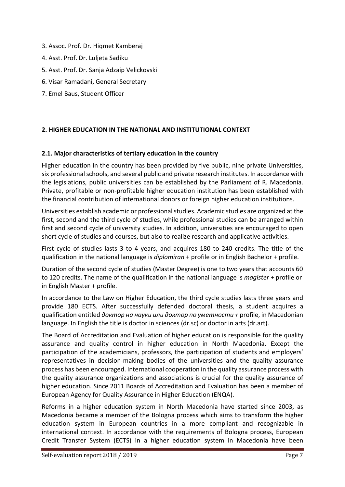- 3. Assoc. Prof. Dr. Hiqmet Kamberaj
- 4. Asst. Prof. Dr. Luljeta Sadiku
- 5. Asst. Prof. Dr. Sanja Adzaip Velickovski
- 6. Visar Ramadani, General Secretary
- 7. Emel Baus, Student Officer

### <span id="page-6-0"></span>**2. HIGHER EDUCATION IN THE NATIONAL AND INSTITUTIONAL CONTEXT**

#### <span id="page-6-1"></span>**2.1. Major characteristics of tertiary education in the country**

Higher education in the country has been provided by five public, nine private Universities, six professional schools, and several public and private research institutes. In accordance with the legislations, public universities can be established by the Parliament of R. Macedonia. Private, profitable or non-profitable higher education institution has been established with the financial contribution of international donors or foreign higher education institutions.

Universities establish academic or professional studies. Academic studies are organized at the first, second and the third cycle of studies, while professional studies can be arranged within first and second cycle of university studies. In addition, universities are encouraged to open short cycle of studies and courses, but also to realize research and applicative activities.

First cycle of studies lasts 3 to 4 years, and acquires 180 to 240 credits. The title of the qualification in the national language is *diplomiran* + profile or in English Bachelor + profile.

Duration of the second cycle of studies (Master Degree) is one to two years that accounts 60 to 120 credits. The name of the qualification in the national language is *magister* + profile or in English Master + profile.

In accordance to the Law on Higher Education, the third cycle studies lasts three years and provide 180 ECTS. After successfully defended doctoral thesis, a student acquires a qualification entitled *доктор на науки или доктор по уметности +* profile, in Macedonian language. In English the title is doctor in sciences (dr.sc) or doctor in arts (dr.art).

The Board of Accreditation and Evaluation of higher education is responsible for the quality assurance and quality control in higher education in North Macedonia. Except the participation of the academicians, professors, the participation of students and employers' representatives in decision-making bodies of the universities and the quality assurance process has been encouraged. International cooperation in the quality assurance process with the quality assurance organizations and associations is crucial for the quality assurance of higher education. Since 2011 Boards of Accreditation and Evaluation has been a member of European Agency for Quality Assurance in Higher Education (ENQA).

Reforms in a higher education system in North Macedonia have started since 2003, as Macedonia became a member of the Bologna process which aims to transform the higher education system in European countries in a more compliant and recognizable in international context. In accordance with the requirements of Bologna process, European Credit Transfer System (ECTS) in a higher education system in Macedonia have been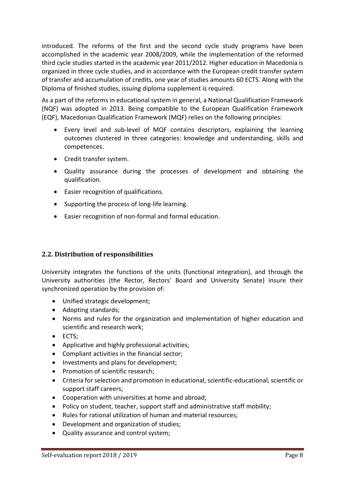introduced. The reforms of the first and the second cycle study programs have been accomplished in the academic year 2008/2009, while the implementation of the reformed third cycle studies started in the academic year 2011/2012. Higher education in Macedonia is organized in three cycle studies, and in accordance with the European credit transfer system of transfer and accumulation of credits, one year of studies amounts 60 ECTS. Along with the Diploma of finished studies, issuing diploma supplement is required.

As a part of the reforms in educational system in general, a National Qualification Framework (NQF) was adopted in 2013. Being compatible to the European Qualification Framework (EQF), Macedonian Qualification Framework (MQF) relies on the following principles:

- Every level and sub-level of MQF contains descriptors, explaining the learning outcomes clustered in three categories: knowledge and understanding, skills and competences.
- Credit transfer system.
- Quality assurance during the processes of development and obtaining the qualification.
- Easier recognition of qualifications.
- Supporting the process of long-life learning.
- Easier recognition of non-formal and formal education.

## <span id="page-7-0"></span>**2.2. Distribution of responsibilities**

University integrates the functions of the units (functional integration), and through the University authorities (the Rector, Rectors' Board and University Senate) insure their synchronized operation by the provision of:

- Unified strategic development;
- Adopting standards;
- Norms and rules for the organization and implementation of higher education and scientific and research work;
- ECTS;
- Applicative and highly professional activities;
- Compliant activities in the financial sector;
- Investments and plans for development;
- Promotion of scientific research;
- Criteria for selection and promotion in educational, scientific-educational, scientific or support staff careers;
- Cooperation with universities at home and abroad;
- Policy on student, teacher, support staff and administrative staff mobility;
- Rules for rational utilization of human and material resources;
- Development and organization of studies;
- Quality assurance and control system;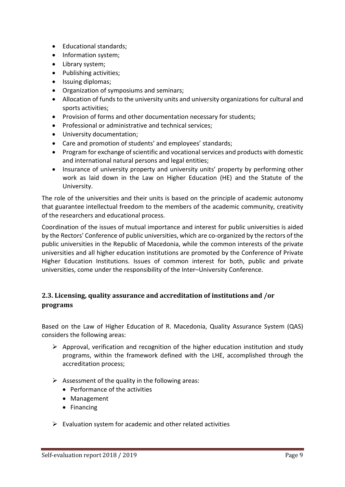- Educational standards;
- Information system;
- Library system;
- Publishing activities;
- Issuing diplomas;
- Organization of symposiums and seminars;
- Allocation of funds to the university units and university organizations for cultural and sports activities;
- Provision of forms and other documentation necessary for students;
- Professional or administrative and technical services;
- University documentation;
- Care and promotion of students' and employees' standards;
- Program for exchange of scientific and vocational services and products with domestic and international natural persons and legal entities;
- Insurance of university property and university units' property by performing other work as laid down in the Law on Higher Education (HE) and the Statute of the University.

The role of the universities and their units is based on the principle of academic autonomy that guarantee intellectual freedom to the members of the academic community, creativity of the researchers and educational process.

Coordination of the issues of mutual importance and interest for public universities is aided by the Rectors' Conference of public universities, which are co-organized by the rectors of the public universities in the Republic of Macedonia, while the common interests of the private universities and all higher education institutions are promoted by the Conference of Private Higher Education Institutions. Issues of common interest for both, public and private universities, come under the responsibility of the Inter–University Conference.

## <span id="page-8-0"></span>**2.3. Licensing, quality assurance and accreditation of institutions and /or programs**

Based on the Law of Higher Education of R. Macedonia, Quality Assurance System (QAS) considers the following areas:

- $\triangleright$  Approval, verification and recognition of the higher education institution and study programs, within the framework defined with the LHE, accomplished through the accreditation process;
- $\triangleright$  Assessment of the quality in the following areas:
	- Performance of the activities
	- Management
	- Financing
- $\triangleright$  Evaluation system for academic and other related activities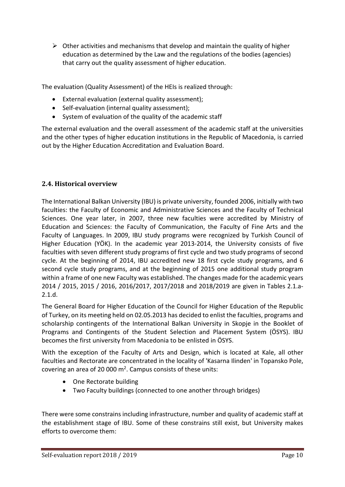$\triangleright$  Other activities and mechanisms that develop and maintain the quality of higher education as determined by the Law and the regulations of the bodies (agencies) that carry out the quality assessment of higher education.

The evaluation (Quality Assessment) of the HEIs is realized through:

- External evaluation (external quality assessment);
- Self-evaluation (internal quality assessment);
- System of evaluation of the quality of the academic staff

The external evaluation and the overall assessment of the academic staff at the universities and the other types of higher education institutions in the Republic of Macedonia, is carried out by the Higher Education Accreditation and Evaluation Board.

## <span id="page-9-0"></span>**2.4. Historical overview**

The International Balkan University (IBU) is private university, founded 2006, initially with two faculties: the Faculty of Economic and Administrative Sciences and the Faculty of Technical Sciences. One year later, in 2007, three new faculties were accredited by Ministry of Education and Sciences: the Faculty of Communication, the Faculty of Fine Arts and the Faculty of Languages. In 2009, IBU study programs were recognized by Turkish Council of Higher Education (YÖK). In the academic year 2013-2014, the University consists of five faculties with seven different study programs of first cycle and two study programs of second cycle. At the beginning of 2014, IBU accredited new 18 first cycle study programs, and 6 second cycle study programs, and at the beginning of 2015 one additional study program within a frame of one new Faculty was established. The changes made for the academic years 2014 / 2015, 2015 / 2016, 2016/2017, 2017/2018 and 2018/2019 are given in Tables 2.1.a-2.1.d.

The General Board for Higher Education of the Council for Higher Education of the Republic of Turkey, on its meeting held on 02.05.2013 has decided to enlist the faculties, programs and scholarship contingents of the International Balkan University in Skopje in the Booklet of Programs and Contingents of the Student Selection and Placement System (ÖSYS). IBU becomes the first university from Macedonia to be enlisted in ÖSYS.

With the exception of the Faculty of Arts and Design, which is located at Kale, all other faculties and Rectorate are concentrated in the locality of 'Kasarna Ilinden' in Topansko Pole, covering an area of 20 000  $m^2$ . Campus consists of these units:

- One Rectorate building
- Two Faculty buildings (connected to one another through bridges)

There were some constrains including infrastructure, number and quality of academic staff at the establishment stage of IBU. Some of these constrains still exist, but University makes efforts to overcome them: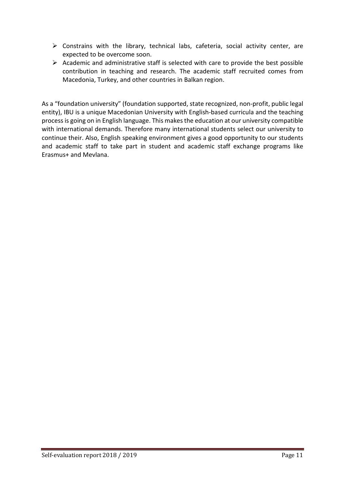- $\triangleright$  Constrains with the library, technical labs, cafeteria, social activity center, are expected to be overcome soon.
- $\triangleright$  Academic and administrative staff is selected with care to provide the best possible contribution in teaching and research. The academic staff recruited comes from Macedonia, Turkey, and other countries in Balkan region.

As a "foundation university" (foundation supported, state recognized, non-profit, public legal entity), IBU is a unique Macedonian University with English-based curricula and the teaching process is going on in English language. This makes the education at our university compatible with international demands. Therefore many international students select our university to continue their. Also, English speaking environment gives a good opportunity to our students and academic staff to take part in student and academic staff exchange programs like Erasmus+ and Mevlana.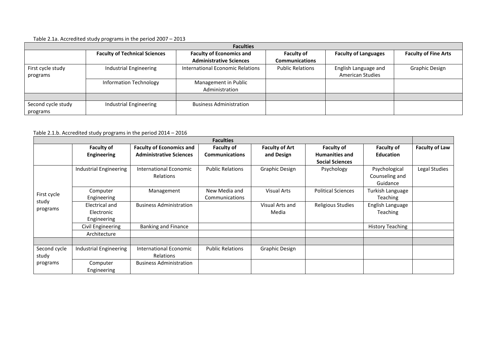#### Table 2.1a. Accredited study programs in the period 2007 – 2013

| <b>Faculties</b>   |                                      |                                  |                         |                             |                             |  |
|--------------------|--------------------------------------|----------------------------------|-------------------------|-----------------------------|-----------------------------|--|
|                    | <b>Faculty of Technical Sciences</b> | <b>Faculty of Economics and</b>  | <b>Faculty of</b>       | <b>Faculty of Languages</b> | <b>Faculty of Fine Arts</b> |  |
|                    |                                      | <b>Administrative Sciences</b>   | <b>Communications</b>   |                             |                             |  |
| First cycle study  | Industrial Engineering               | International Economic Relations | <b>Public Relations</b> | English Language and        | <b>Graphic Design</b>       |  |
| programs           |                                      |                                  |                         | <b>American Studies</b>     |                             |  |
|                    | <b>Information Technology</b>        | Management in Public             |                         |                             |                             |  |
|                    |                                      | Administration                   |                         |                             |                             |  |
|                    |                                      |                                  |                         |                             |                             |  |
| Second cycle study | Industrial Engineering               | <b>Business Administration</b>   |                         |                             |                             |  |
| programs           |                                      |                                  |                         |                             |                             |  |

#### Table 2.1.b. Accredited study programs in the period 2014 – 2016

| <b>Faculties</b> |                        |                                 |                         |                       |                           |                         |                       |
|------------------|------------------------|---------------------------------|-------------------------|-----------------------|---------------------------|-------------------------|-----------------------|
|                  | <b>Faculty of</b>      | <b>Faculty of Economics and</b> | <b>Faculty of</b>       | <b>Faculty of Art</b> | <b>Faculty of</b>         | <b>Faculty of</b>       | <b>Faculty of Law</b> |
|                  | <b>Engineering</b>     | <b>Administrative Sciences</b>  | <b>Communications</b>   | and Design            | <b>Humanities and</b>     | <b>Education</b>        |                       |
|                  |                        |                                 |                         |                       | <b>Social Sciences</b>    |                         |                       |
|                  | Industrial Engineering | <b>International Economic</b>   | <b>Public Relations</b> | Graphic Design        | Psychology                | Psychological           | Legal Studies         |
|                  |                        | Relations                       |                         |                       |                           | Counseling and          |                       |
|                  |                        |                                 |                         |                       |                           | Guidance                |                       |
|                  | Computer               | Management                      | New Media and           | <b>Visual Arts</b>    | <b>Political Sciences</b> | Turkish Language        |                       |
| First cycle      | Engineering            |                                 | Communications          |                       |                           | <b>Teaching</b>         |                       |
| study            | Electrical and         | <b>Business Administration</b>  |                         | Visual Arts and       | Religious Studies         | English Language        |                       |
| programs         | Electronic             |                                 |                         | Media                 |                           | <b>Teaching</b>         |                       |
|                  | Engineering            |                                 |                         |                       |                           |                         |                       |
|                  | Civil Engineering      | <b>Banking and Finance</b>      |                         |                       |                           | <b>History Teaching</b> |                       |
|                  | Architecture           |                                 |                         |                       |                           |                         |                       |
|                  |                        |                                 |                         |                       |                           |                         |                       |
| Second cycle     | Industrial Engineering | International Economic          | <b>Public Relations</b> | Graphic Design        |                           |                         |                       |
| study            |                        | Relations                       |                         |                       |                           |                         |                       |
| programs         | Computer               | <b>Business Administration</b>  |                         |                       |                           |                         |                       |
|                  | Engineering            |                                 |                         |                       |                           |                         |                       |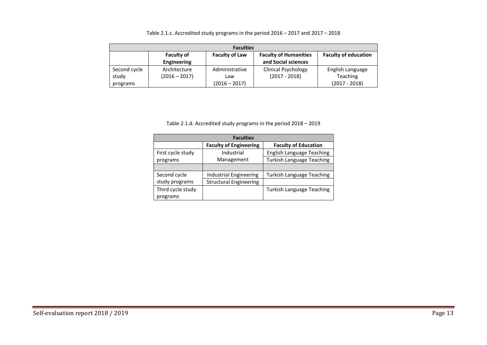| <b>Faculties</b> |                    |                       |                              |                             |  |
|------------------|--------------------|-----------------------|------------------------------|-----------------------------|--|
|                  | <b>Faculty of</b>  | <b>Faculty of Law</b> | <b>Faculty of Humanities</b> | <b>Faculty of education</b> |  |
|                  | <b>Engineering</b> |                       | and Social sciences          |                             |  |
| Second cycle     | Architecture       | Administrative        | <b>Clinical Psychology</b>   | English Language            |  |
| study            | $(2016 - 2017)$    | Law                   | $(2017 - 2018)$              | <b>Teaching</b>             |  |
| programs         |                    | $(2016 - 2017)$       |                              | $(2017 - 2018)$             |  |

#### Table 2.1.c. Accredited study programs in the period 2016 – 2017 and 2017 – 2018

Table 2.1.d. Accredited study programs in the period 2018 – 2019

| <b>Faculties</b>  |                               |                                  |  |  |  |
|-------------------|-------------------------------|----------------------------------|--|--|--|
|                   | <b>Faculty of Engineering</b> | <b>Faculty of Education</b>      |  |  |  |
| First cycle study | Industrial                    | <b>English Language Teaching</b> |  |  |  |
| programs          | Management                    | <b>Turkish Language Teaching</b> |  |  |  |
|                   |                               |                                  |  |  |  |
| Second cycle      | Industrial Engineering        | <b>Turkish Language Teaching</b> |  |  |  |
| study programs    | <b>Structural Engineering</b> |                                  |  |  |  |
| Third cycle study |                               | <b>Turkish Language Teaching</b> |  |  |  |
| programs          |                               |                                  |  |  |  |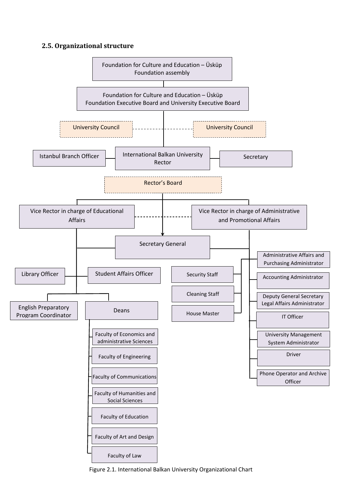### <span id="page-13-0"></span>**2.5. Organizational structure**



Figure 2.1. International Balkan University Organizational Chart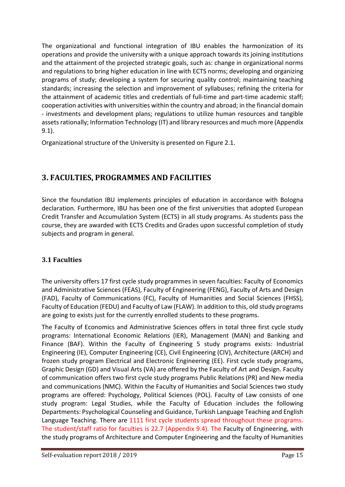The organizational and functional integration of IBU enables the harmonization of its operations and provide the university with a unique approach towards its joining institutions and the attainment of the projected strategic goals, such as: change in organizational norms and regulations to bring higher education in line with ECTS norms; developing and organizing programs of study; developing a system for securing quality control; maintaining teaching standards; increasing the selection and improvement of syllabuses; refining the criteria for the attainment of academic titles and credentials of full-time and part-time academic staff; cooperation activities with universities within the country and abroad; in the financial domain - investments and development plans; regulations to utilize human resources and tangible assets rationally; Information Technology (IT) and library resources and much more (Appendix 9.1).

Organizational structure of the University is presented on Figure 2.1.

# <span id="page-14-0"></span>**3. FACULTIES, PROGRAMMES AND FACILITIES**

Since the foundation IBU implements principles of education in accordance with Bologna declaration. Furthermore, IBU has been one of the first universities that adopted European Credit Transfer and Accumulation System (ECTS) in all study programs. As students pass the course, they are awarded with ECTS Credits and Grades upon successful completion of study subjects and program in general.

## <span id="page-14-1"></span>**3.1 Faculties**

The university offers 17 first cycle study programmes in seven faculties: Faculty of Economics and Administrative Sciences (FEAS), Faculty of Engineering (FENG), Faculty of Arts and Design (FAD), Faculty of Communications (FC), Faculty of Humanities and Social Sciences (FHSS), Faculty of Education (FEDU) and Faculty of Law (FLAW). In addition to this, old study programs are going to exists just for the currently enrolled students to these programs.

The Faculty of Economics and Administrative Sciences offers in total three first cycle study programs: International Economic Relations (IER), Management (MAN) and Banking and Finance (BAF). Within the Faculty of Engineering 5 study programs exists: Industrial Engineering (IE), Computer Engineering (CE), Civil Engineering (CIV), Architecture (ARCH) and frozen study program Electrical and Electronic Engineering (EE). First cycle study programs, Graphic Design (GD) and Visual Arts (VA) are offered by the Faculty of Art and Design. Faculty of communication offers two first cycle study programs Public Relations (PR) and New media and communications (NMC). Within the Faculty of Humanities and Social Sciences two study programs are offered: Psychology, Political Sciences (POL). Faculty of Law consists of one study program: Legal Studies, while the Faculty of Education includes the following Departments: Psychological Counseling and Guidance, Turkish Language Teaching and English Language Teaching. There are 1111 first cycle students spread throughout these programs. The student/staff ratio for faculties is 22.7 (Appendix 9.4). The Faculty of Engineering, with the study programs of Architecture and Computer Engineering and the faculty of Humanities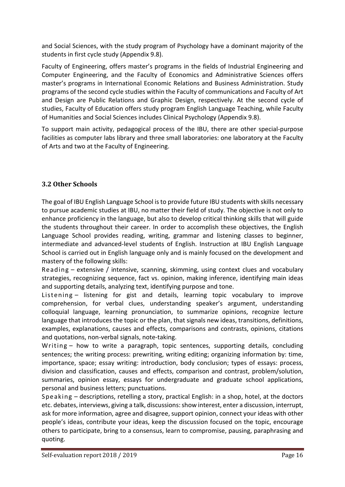and Social Sciences, with the study program of Psychology have a dominant majority of the students in first cycle study (Appendix 9.8).

Faculty of Engineering, offers master's programs in the fields of Industrial Engineering and Computer Engineering, and the Faculty of Economics and Administrative Sciences offers master's programs in International Economic Relations and Business Administration. Study programs of the second cycle studies within the Faculty of communications and Faculty of Art and Design are Public Relations and Graphic Design, respectively. At the second cycle of studies, Faculty of Education offers study program English Language Teaching, while Faculty of Humanities and Social Sciences includes Clinical Psychology (Appendix 9.8).

To support main activity, pedagogical process of the IBU, there are other special-purpose facilities as computer labs library and three small laboratories: one laboratory at the Faculty of Arts and two at the Faculty of Engineering.

## <span id="page-15-0"></span>**3.2 Other Schools**

The goal of IBU English Language School is to provide future IBU students with skills necessary to pursue academic studies at IBU, no matter their field of study. The objective is not only to enhance proficiency in the language, but also to develop critical thinking skills that will guide the students throughout their career. In order to accomplish these objectives, the English Language School provides reading, writing, grammar and listening classes to beginner, intermediate and advanced-level students of English. Instruction at IBU English Language School is carried out in English language only and is mainly focused on the development and mastery of the following skills:

Reading – extensive / intensive, scanning, skimming, using context clues and vocabulary strategies, recognizing sequence, fact vs. opinion, making inference, identifying main ideas and supporting details, analyzing text, identifying purpose and tone.

Listening – listening for gist and details, learning topic vocabulary to improve comprehension, for verbal clues, understanding speaker's argument, understanding colloquial language, learning pronunciation, to summarize opinions, recognize lecture language that introduces the topic or the plan, that signals new ideas, transitions, definitions, examples, explanations, causes and effects, comparisons and contrasts, opinions, citations and quotations, non-verbal signals, note-taking.

Writing – how to write a paragraph, topic sentences, supporting details, concluding sentences; the writing process: prewriting, writing editing; organizing information by: time, importance, space; essay writing: introduction, body conclusion; types of essays: process, division and classification, causes and effects, comparison and contrast, problem/solution, summaries, opinion essay, essays for undergraduate and graduate school applications, personal and business letters; punctuations.

Speaking – descriptions, retelling a story, practical English: in a shop, hotel, at the doctors etc. debates, interviews, giving a talk, discussions: show interest, enter a discussion, interrupt, ask for more information, agree and disagree, support opinion, connect your ideas with other people's ideas, contribute your ideas, keep the discussion focused on the topic, encourage others to participate, bring to a consensus, learn to compromise, pausing, paraphrasing and quoting.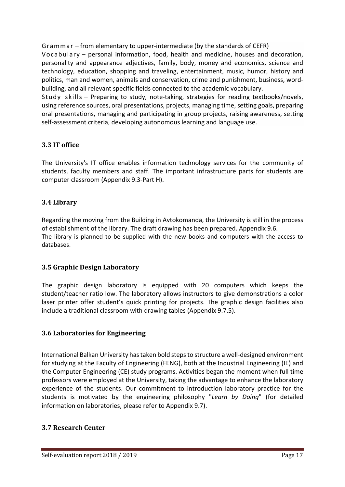Grammar – from elementary to upper-intermediate (by the standards of CEFR) Vocabulary – personal information, food, health and medicine, houses and decoration, personality and appearance adjectives, family, body, money and economics, science and technology, education, shopping and traveling, entertainment, music, humor, history and politics, man and women, animals and conservation, crime and punishment, business, wordbuilding, and all relevant specific fields connected to the academic vocabulary.

Study skills – Preparing to study, note-taking, strategies for reading textbooks/novels, using reference sources, oral presentations, projects, managing time, setting goals, preparing oral presentations, managing and participating in group projects, raising awareness, setting self-assessment criteria, developing autonomous learning and language use.

## <span id="page-16-0"></span>**3.3 IT office**

The University's IT office enables information technology services for the community of students, faculty members and staff. The important infrastructure parts for students are computer classroom (Appendix 9.3-Part H).

## <span id="page-16-1"></span>**3.4 Library**

Regarding the moving from the Building in Avtokomanda, the University is still in the process of establishment of the library. The draft drawing has been prepared. Appendix 9.6. The library is planned to be supplied with the new books and computers with the access to databases.

## <span id="page-16-2"></span>**3.5 Graphic Design Laboratory**

The graphic design laboratory is equipped with 20 computers which keeps the student/teacher ratio low. The laboratory allows instructors to give demonstrations a color laser printer offer student's quick printing for projects. The graphic design facilities also include a traditional classroom with drawing tables (Appendix 9.7.5).

## <span id="page-16-3"></span>**3.6 Laboratories for Engineering**

International Balkan University has taken bold steps to structure a well-designed environment for studying at the Faculty of Engineering (FENG), both at the Industrial Engineering (IE) and the Computer Engineering (CE) study programs. Activities began the moment when full time professors were employed at the University, taking the advantage to enhance the laboratory experience of the students. Our commitment to introduction laboratory practice for the students is motivated by the engineering philosophy "*Learn by Doing*" (for detailed information on laboratories, please refer to Appendix 9.7).

## <span id="page-16-4"></span>**3.7 Research Center**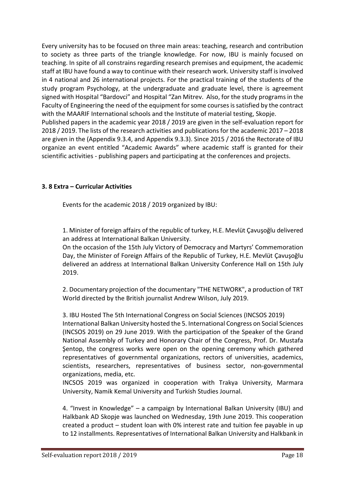Every university has to be focused on three main areas: teaching, research and contribution to society as three parts of the triangle knowledge. For now, IBU is mainly focused on teaching. In spite of all constrains regarding research premises and equipment, the academic staff at IBU have found a way to continue with their research work. University staff isinvolved in 4 national and 26 international projects. For the practical training of the students of the study program Psychology, at the undergraduate and graduate level, there is agreement signed with Hospital "Bardovci" and Hospital "Zan Mitrev. Also, for the study programs in the Faculty of Engineering the need of the equipment for some courses is satisfied by the contract with the MAARIF International schools and the Institute of material testing, Skopje. Published papers in the academic year 2018 / 2019 are given in the self-evaluation report for 2018 / 2019. The lists of the research activities and publications for the academic 2017 – 2018

are given in the (Appendix 9.3.4, and Appendix 9.3.3). Since 2015 / 2016 the Rectorate of IBU organize an event entitled "Academic Awards" where academic staff is granted for their scientific activities - publishing papers and participating at the conferences and projects.

### <span id="page-17-0"></span>**3. 8 Extra – Curricular Activities**

Events for the academic 2018 / 2019 organized by IBU:

1. Minister of foreign affairs of the republic of turkey, H.E. Mevlüt Çavuşoğlu delivered an address at International Balkan University.

On the occasion of the 15th July Victory of Democracy and Martyrs' Commemoration Day, the Minister of Foreign Affairs of the Republic of Turkey, H.E. Mevlüt Çavuşoğlu delivered an address at International Balkan University Conference Hall on 15th July 2019.

2. Documentary projection of the documentary "THE NETWORK", a production of TRT World directed by the British journalist Andrew Wilson, July 2019.

3. IBU Hosted The 5th International Congress on Social Sciences (INCSOS 2019) International Balkan University hosted the 5. International Congress on Social Sciences (INCSOS 2019) on 29 June 2019. With the participation of the Speaker of the Grand National Assembly of Turkey and Honorary Chair of the Congress, Prof. Dr. Mustafa Şentop, the congress works were open on the opening ceremony which gathered representatives of governmental organizations, rectors of universities, academics, scientists, researchers, representatives of business sector, non-governmental organizations, media, etc.

INCSOS 2019 was organized in cooperation with Trakya University, Marmara University, Namik Kemal University and Turkish Studies Journal.

4. "Invest in Knowledge" – a campaign by International Balkan University (IBU) and Halkbank AD Skopje was launched on Wednesday, 19th June 2019. This cooperation created a product – student loan with 0% interest rate and tuition fee payable in up to 12 installments. Representatives of International Balkan University and Halkbank in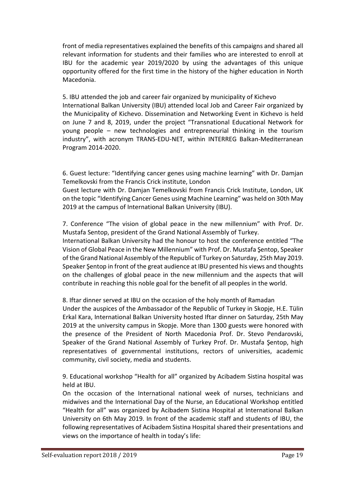front of media representatives explained the benefits of this campaigns and shared all relevant information for students and their families who are interested to enroll at IBU for the academic year 2019/2020 by using the advantages of this unique opportunity offered for the first time in the history of the higher education in North Macedonia.

5. IBU attended the job and career fair organized by municipality of Kichevo International Balkan University (IBU) attended local Job and Career Fair organized by the Municipality of Kichevo. Dissemination and Networking Event in Kichevo is held on June 7 and 8, 2019, under the project "Transnational Educational Network for young people – new technologies and entrepreneurial thinking in the tourism industry", with acronym TRANS-EDU-NET, within INTERREG Balkan-Mediterranean Program 2014-2020.

6. Guest lecture: "Identifying cancer genes using machine learning" with Dr. Damjan Temelkovski from the Francis Crick institute, London

Guest lecture with Dr. Damjan Temelkovski from Francis Crick Institute, London, UK on the topic "Identifying Cancer Genes using Machine Learning" was held on 30th May 2019 at the campus of International Balkan University (IBU).

7. Conference "The vision of global peace in the new millennium" with Prof. Dr. Mustafa Sentop, president of the Grand National Assembly of Turkey.

International Balkan University had the honour to host the conference entitled "The Vision of Global Peace in the New Millennium" with Prof. Dr. Mustafa Şentop, Speaker of the Grand National Assembly of the Republic of Turkey on Saturday, 25th May 2019. Speaker Şentop in front of the great audience at IBU presented his views and thoughts on the challenges of global peace in the new millennium and the aspects that will contribute in reaching this noble goal for the benefit of all peoples in the world.

8. Iftar dinner served at IBU on the occasion of the holy month of Ramadan

Under the auspices of the Ambassador of the Republic of Turkey in Skopje, H.E. Tülin Erkal Kara, International Balkan University hosted Iftar dinner on Saturday, 25th May 2019 at the university campus in Skopje. More than 1300 guests were honored with the presence of the President of North Macedonia Prof. Dr. Stevo Pendarovski, Speaker of the Grand National Assembly of Turkey Prof. Dr. Mustafa Şentop, high representatives of governmental institutions, rectors of universities, academic community, civil society, media and students.

9. Educational workshop "Health for all" organized by Acibadem Sistina hospital was held at IBU.

On the occasion of the International national week of nurses, technicians and midwives and the International Day of the Nurse, an Educational Workshop entitled "Health for all" was organized by Acibadem Sistina Hospital at International Balkan University on 6th May 2019. In front of the academic staff and students of IBU, the following representatives of Acibadem Sistina Hospital shared their presentations and views on the importance of health in today's life: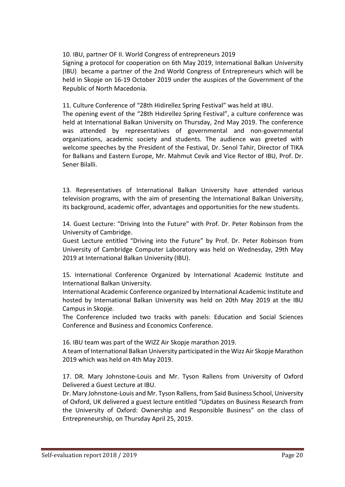10. IBU, partner OF II. World Congress of entrepreneurs 2019

Signing a protocol for cooperation on 6th May 2019, International Balkan University (IBU) became a partner of the 2nd World Congress of Entrepreneurs which will be held in Skopje on 16-19 October 2019 under the auspices of the Government of the Republic of North Macedonia.

11. Culture Conference of "28th Hidirellez Spring Festival" was held at IBU.

The opening event of the "28th Hıdırellez Spring Festival", a culture conference was held at International Balkan University on Thursday, 2nd May 2019. The conference was attended by representatives of governmental and non-governmental organizations, academic society and students. The audience was greeted with welcome speeches by the President of the Festival, Dr. Senol Tahir, Director of TIKA for Balkans and Eastern Europe, Mr. Mahmut Cevik and Vice Rector of IBU, Prof. Dr. Sener Bilalli.

13. Representatives of International Balkan University have attended various television programs, with the aim of presenting the International Balkan University, its background, academic offer, advantages and opportunities for the new students.

14. Guest Lecture: "Driving Into the Future" with Prof. Dr. Peter Robinson from the University of Cambridge.

Guest Lecture entitled "Driving into the Future" by Prof. Dr. Peter Robinson from University of Cambridge Computer Laboratory was held on Wednesday, 29th May 2019 at International Balkan University (IBU).

15. International Conference Organized by International Academic Institute and International Balkan University.

International Academic Conference organized by International Academic Institute and hosted by International Balkan University was held on 20th May 2019 at the IBU Campus in Skopje.

The Conference included two tracks with panels: Education and Social Sciences Conference and Business and Economics Conference.

16. IBU team was part of the WIZZ Air Skopje marathon 2019.

A team of International Balkan University participated in the Wizz Air Skopje Marathon 2019 which was held on 4th May 2019.

17. DR. Mary Johnstone-Louis and Mr. Tyson Rallens from University of Oxford Delivered a Guest Lecture at IBU.

Dr. Mary Johnstone-Louis and Mr. Tyson Rallens, from Said Business School, University of Oxford, UK delivered a guest lecture entitled "Updates on Business Research from the University of Oxford: Ownership and Responsible Business" on the class of Entrepreneurship, on Thursday April 25, 2019.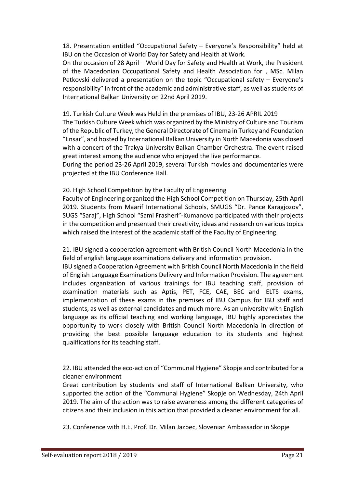18. Presentation entitled "Occupational Safety – Everyone's Responsibility" held at IBU on the Occasion of World Day for Safety and Health at Work.

On the occasion of 28 April – World Day for Safety and Health at Work, the President of the Macedonian Occupational Safety and Health Association for , MSc. Milan Petkovski delivered a presentation on the topic "Occupational safety – Everyone's responsibility" in front of the academic and administrative staff, as well as students of International Balkan University on 22nd April 2019.

19. Turkish Culture Week was Held in the premises of IBU, 23-26 APRIL 2019 The Turkish Culture Week which was organized by the Ministry of Culture and Tourism of the Republic of Turkey, the General Directorate of Cinema in Turkey and Foundation "Ensar", and hosted by International Balkan University in North Macedonia was closed with a concert of the Trakya University Balkan Chamber Orchestra. The event raised great interest among the audience who enjoyed the live performance.

During the period 23-26 April 2019, several Turkish movies and documentaries were projected at the IBU Conference Hall.

#### 20. High School Competition by the Faculty of Engineering

Faculty of Engineering organized the High School Competition on Thursday, 25th April 2019. Students from Maarif International Schools, SMUGS "Dr. Pance Karagjozov", SUGS "Saraj", High School "Sami Frasheri"-Kumanovo participated with their projects in the competition and presented their creativity, ideas and research on various topics which raised the interest of the academic staff of the Faculty of Engineering.

21. IBU signed a cooperation agreement with British Council North Macedonia in the field of english language examinations delivery and information provision.

IBU signed a Cooperation Agreement with British Council North Macedonia in the field of English Language Examinations Delivery and Information Provision. The agreement includes organization of various trainings for IBU teaching staff, provision of examination materials such as Aptis, PET, FCE, CAE, BEC and IELTS exams, implementation of these exams in the premises of IBU Campus for IBU staff and students, as well as external candidates and much more. As an university with English language as its official teaching and working language, IBU highly appreciates the opportunity to work closely with British Council North Macedonia in direction of providing the best possible language education to its students and highest qualifications for its teaching staff.

22. IBU attended the eco-action of "Communal Hygiene" Skopje and contributed for a cleaner environment

Great contribution by students and staff of International Balkan University, who supported the action of the "Communal Hygiene" Skopje on Wednesday, 24th April 2019. The aim of the action was to raise awareness among the different categories of citizens and their inclusion in this action that provided a cleaner environment for all.

23. Conference with H.E. Prof. Dr. Milan Jazbec, Slovenian Ambassador in Skopje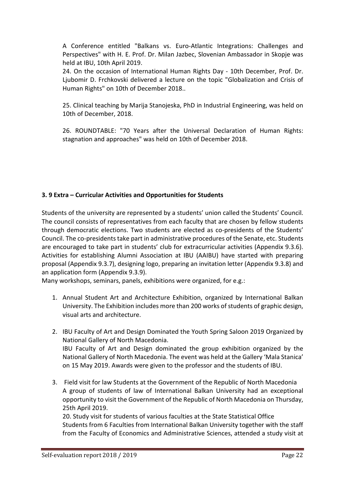A Conference entitled "Balkans vs. Euro-Atlantic Integrations: Challenges and Perspectives" with H. E. Prof. Dr. Milan Jazbec, Slovenian Ambassador in Skopje was held at IBU, 10th April 2019.

24. On the occasion of International Human Rights Day - 10th December, Prof. Dr. Ljubomir D. Frchkovski delivered a lecture on the topic "Globalization and Crisis of Human Rights" on 10th of December 2018..

25. Clinical teaching by Marija Stanojeska, PhD in Industrial Engineering, was held on 10th of December, 2018.

26. ROUNDTABLE: "70 Years after the Universal Declaration of Human Rights: stagnation and approaches" was held on 10th of December 2018.

### <span id="page-21-0"></span>**3. 9 Extra – Curricular Activities and Opportunities for Students**

Students of the university are represented by a students' union called the Students' Council. The council consists of representatives from each faculty that are chosen by fellow students through democratic elections. Two students are elected as co-presidents of the Students' Council. The co-presidents take part in administrative procedures of the Senate, etc. Students are encouraged to take part in students' club for extracurricular activities (Appendix 9.3.6). Activities for establishing Alumni Association at IBU (AAIBU) have started with preparing proposal (Appendix 9.3.7), designing logo, preparing an invitation letter (Appendix 9.3.8) and an application form (Appendix 9.3.9).

Many workshops, seminars, panels, exhibitions were organized, for e.g.:

- 1. Annual Student Art and Architecture Exhibition, organized by International Balkan University. The Exhibition includes more than 200 works of students of graphic design, visual arts and architecture.
- 2. IBU Faculty of Art and Design Dominated the Youth Spring Saloon 2019 Organized by National Gallery of North Macedonia. IBU Faculty of Art and Design dominated the group exhibition organized by the National Gallery of North Macedonia. The event was held at the Gallery 'Mala Stanica' on 15 May 2019. Awards were given to the professor and the students of IBU.
- 3. Field visit for law Students at the Government of the Republic of North Macedonia A group of students of law of International Balkan University had an exceptional opportunity to visit the Government of the Republic of North Macedonia on Thursday, 25th April 2019.

20. Study visit for students of various faculties at the State Statistical Office Students from 6 Faculties from International Balkan University together with the staff from the Faculty of Economics and Administrative Sciences, attended a study visit at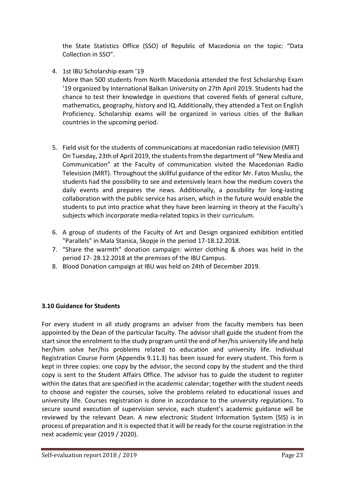the State Statistics Office (SSO) of Republic of Macedonia on the topic: "Data Collection in SSO".

4. 1st IBU Scholarship exam '19

More than 500 students from North Macedonia attended the first Scholarship Exam '19 organized by International Balkan University on 27th April 2019. Students had the chance to test their knowledge in questions that covered fields of general culture, mathematics, geography, history and IQ. Additionally, they attended a Test on English Proficiency. Scholarship exams will be organized in various cities of the Balkan countries in the upcoming period.

- 5. Field visit for the students of communications at macedonian radio television (MRT) On Tuesday, 23th of April 2019, the students from the department of "New Media and Communication" at the Faculty of communication visited the Macedonian Radio Television (MRT). Throughout the skillful guidance of the editor Mr. Fatos Musliu, the students had the possibility to see and extensively learn how the medium covers the daily events and prepares the news. Additionally, a possibility for long-lasting collaboration with the public service has arisen, which in the future would enable the students to put into practice what they have been learning in theory at the Faculty's subjects which incorporate media-related topics in their curriculum.
- 6. A group of students of the Faculty of Art and Design organized exhibition entitled "Parallels" in Mala Stanica, Skopje in the period 17-18.12.2018.
- 7. "Share the warmth" donation campaign: winter clothing & shoes was held in the period 17- 28.12.2018 at the premises of the IBU Campus.
- 8. Blood Donation campaign at IBU was held on 24th of December 2019.

#### <span id="page-22-0"></span>**3.10 Guidance for Students**

For every student in all study programs an adviser from the faculty members has been appointed by the Dean of the particular faculty. The advisor shall guide the student from the start since the enrolment to the study program until the end of her/his university life and help her/him solve her/his problems related to education and university life. Individual Registration Course Form (Appendix 9.11.3) has been issued for every student. This form is kept in three copies: one copy by the advisor, the second copy by the student and the third copy is sent to the Student Affairs Office. The advisor has to guide the student to register within the dates that are specified in the academic calendar; together with the student needs to choose and register the courses, solve the problems related to educational issues and university life. Courses registration is done in accordance to the university regulations. To secure sound execution of supervision service, each student's academic guidance will be reviewed by the relevant Dean. A new electronic Student Information System (SIS) is in process of preparation and it is expected that it will be ready for the course registration in the next academic year (2019 / 2020).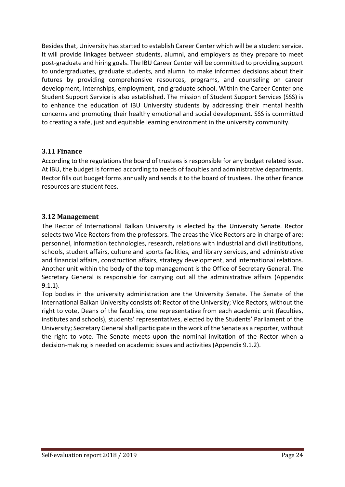Besides that, University has started to establish Career Center which will be a student service. It will provide linkages between students, alumni, and employers as they prepare to meet post-graduate and hiring goals. The IBU Career Center will be committed to providing support to undergraduates, graduate students, and alumni to make informed decisions about their futures by providing comprehensive resources, programs, and counseling on career development, internships, employment, and graduate school. Within the Career Center one Student Support Service is also established. The mission of Student Support Services (SSS) is to enhance the education of IBU University students by addressing their mental health concerns and promoting their healthy emotional and social development. SSS is committed to creating a safe, just and equitable learning environment in the university community.

## <span id="page-23-0"></span>**3.11 Finance**

According to the regulations the board of trustees is responsible for any budget related issue. At IBU, the budget is formed according to needs of faculties and administrative departments. Rector fills out budget forms annually and sends it to the board of trustees. The other finance resources are student fees.

## <span id="page-23-1"></span>**3.12 Management**

The Rector of International Balkan University is elected by the University Senate. Rector selects two Vice Rectors from the professors. The areas the Vice Rectors are in charge of are: personnel, information technologies, research, relations with industrial and civil institutions, schools, student affairs, culture and sports facilities, and library services, and administrative and financial affairs, construction affairs, strategy development, and international relations. Another unit within the body of the top management is the Office of Secretary General. The Secretary General is responsible for carrying out all the administrative affairs (Appendix 9.1.1).

Top bodies in the university administration are the University Senate. The Senate of the International Balkan University consists of: Rector of the University; Vice Rectors, without the right to vote, Deans of the faculties, one representative from each academic unit (faculties, institutes and schools), students' representatives, elected by the Students' Parliament of the University; Secretary General shall participate in the work of the Senate as a reporter, without the right to vote. The Senate meets upon the nominal invitation of the Rector when a decision-making is needed on academic issues and activities (Appendix 9.1.2).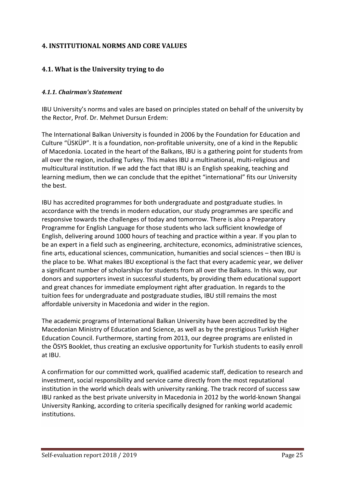## <span id="page-24-0"></span>**4. INSTITUTIONAL NORMS AND CORE VALUES**

## <span id="page-24-1"></span>**4.1. What is the University trying to do**

#### <span id="page-24-2"></span>*4.1.1. Chairman's Statement*

IBU University's norms and vales are based on principles stated on behalf of the university by the Rector, Prof. Dr. Mehmet Dursun Erdem:

The International Balkan University is founded in 2006 by the Foundation for Education and Culture "ÜSKÜP". It is a foundation, non-profitable university, one of a kind in the Republic of Macedonia. Located in the heart of the Balkans, IBU is a gathering point for students from all over the region, including Turkey. This makes IBU a multinational, multi-religious and multicultural institution. If we add the fact that IBU is an English speaking, teaching and learning medium, then we can conclude that the epithet "international" fits our University the best.

IBU has accredited programmes for both undergraduate and postgraduate studies. In accordance with the trends in modern education, our study programmes are specific and responsive towards the challenges of today and tomorrow. There is also a Preparatory Programme for English Language for those students who lack sufficient knowledge of English, delivering around 1000 hours of teaching and practice within a year. If you plan to be an expert in a field such as engineering, architecture, economics, administrative sciences, fine arts, educational sciences, communication, humanities and social sciences – then IBU is the place to be. What makes IBU exceptional is the fact that every academic year, we deliver a significant number of scholarships for students from all over the Balkans. In this way, our donors and supporters invest in successful students, by providing them educational support and great chances for immediate employment right after graduation. In regards to the tuition fees for undergraduate and postgraduate studies, IBU still remains the most affordable university in Macedonia and wider in the region.

The academic programs of International Balkan University have been accredited by the Macedonian Ministry of Education and Science, as well as by the prestigious Turkish Higher Education Council. Furthermore, starting from 2013, our degree programs are enlisted in the ÖSYS Booklet, thus creating an exclusive opportunity for Turkish students to easily enroll at IBU.

A confirmation for our committed work, qualified academic staff, dedication to research and investment, social responsibility and service came directly from the most reputational institution in the world which deals with university ranking. The track record of success saw IBU ranked as the best private university in Macedonia in 2012 by the world-known Shangai University Ranking, according to criteria specifically designed for ranking world academic institutions.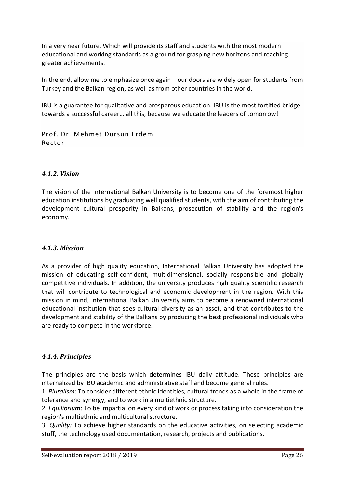In a very near future, Which will provide its staff and students with the most modern educational and working standards as a ground for grasping new horizons and reaching greater achievements.

In the end, allow me to emphasize once again – our doors are widely open for students from Turkey and the Balkan region, as well as from other countries in the world.

IBU is a guarantee for qualitative and prosperous education. IBU is the most fortified bridge towards a successful career… all this, because we educate the leaders of tomorrow!

Prof. Dr. Mehmet Dursun Erdem Rector

### <span id="page-25-0"></span>*4.1.2. Vision*

The vision of the International Balkan University is to become one of the foremost higher education institutions by graduating well qualified students, with the aim of contributing the development cultural prosperity in Balkans, prosecution of stability and the region's economy.

#### <span id="page-25-1"></span>*4.1.3. Mission*

As a provider of high quality education, International Balkan University has adopted the mission of educating self-confident, multidimensional, socially responsible and globally competitive individuals. In addition, the university produces high quality scientific research that will contribute to technological and economic development in the region. With this mission in mind, International Balkan University aims to become a renowned international educational institution that sees cultural diversity as an asset, and that contributes to the development and stability of the Balkans by producing the best professional individuals who are ready to compete in the workforce.

#### <span id="page-25-2"></span>*4.1.4. Principles*

The principles are the basis which determines IBU daily attitude. These principles are internalized by IBU academic and administrative staff and become general rules.

1. *Pluralism*: To consider different ethnic identities, cultural trends as a whole in the frame of tolerance and synergy, and to work in a multiethnic structure.

2. *Equilibrium*: To be impartial on every kind of work or process taking into consideration the region's multiethnic and multicultural structure.

3. *Quality:* To achieve higher standards on the educative activities, on selecting academic stuff, the technology used documentation, research, projects and publications.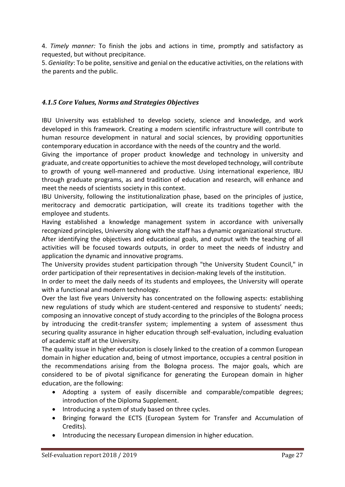4. *Timely manner:* To finish the jobs and actions in time, promptly and satisfactory as requested, but without precipitance.

5. *Geniality*: To be polite, sensitive and genial on the educative activities, on the relations with the parents and the public.

## <span id="page-26-0"></span>*4.1.5 Core Values, Norms and Strategies Objectives*

IBU University was established to develop society, science and knowledge, and work developed in this framework. Creating a modern scientific infrastructure will contribute to human resource development in natural and social sciences, by providing opportunities contemporary education in accordance with the needs of the country and the world.

Giving the importance of proper product knowledge and technology in university and graduate, and create opportunities to achieve the most developed technology, will contribute to growth of young well-mannered and productive. Using international experience, IBU through graduate programs, as and tradition of education and research, will enhance and meet the needs of scientists society in this context.

IBU University, following the institutionalization phase, based on the principles of justice, meritocracy and democratic participation, will create its traditions together with the employee and students.

Having established a knowledge management system in accordance with universally recognized principles, University along with the staff has a dynamic organizational structure. After identifying the objectives and educational goals, and output with the teaching of all activities will be focused towards outputs, in order to meet the needs of industry and application the dynamic and innovative programs.

The University provides student participation through "the University Student Council," in order participation of their representatives in decision-making levels of the institution.

In order to meet the daily needs of its students and employees, the University will operate with a functional and modern technology.

Over the last five years University has concentrated on the following aspects: establishing new regulations of study which are student-centered and responsive to students' needs; composing an innovative concept of study according to the principles of the Bologna process by introducing the credit-transfer system; implementing a system of assessment thus securing quality assurance in higher education through self-evaluation, including evaluation of academic staff at the University.

The quality issue in higher education is closely linked to the creation of a common European domain in higher education and, being of utmost importance, occupies a central position in the recommendations arising from the Bologna process. The major goals, which are considered to be of pivotal significance for generating the European domain in higher education, are the following:

- Adopting a system of easily discernible and comparable/compatible degrees; introduction of the Diploma Supplement.
- Introducing a system of study based on three cycles.
- Bringing forward the ECTS (European System for Transfer and Accumulation of Credits).
- Introducing the necessary European dimension in higher education.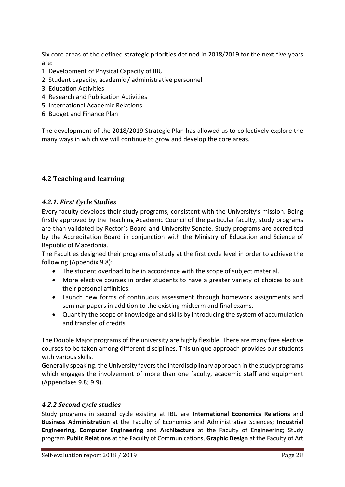Six core areas of the defined strategic priorities defined in 2018/2019 for the next five years are:

- 1. Development of Physical Capacity of IBU
- 2. Student capacity, academic / administrative personnel
- 3. Education Activities
- 4. Research and Publication Activities
- 5. International Academic Relations
- 6. Budget and Finance Plan

The development of the 2018/2019 Strategic Plan has allowed us to collectively explore the many ways in which we will continue to grow and develop the core areas.

## <span id="page-27-0"></span>**4.2 Teaching and learning**

### <span id="page-27-1"></span>*4.2.1. First Cycle Studies*

Every faculty develops their study programs, consistent with the University's mission. Being firstly approved by the Teaching Academic Council of the particular faculty, study programs are than validated by Rector's Board and University Senate. Study programs are accredited by the Accreditation Board in conjunction with the Ministry of Education and Science of Republic of Macedonia.

The Faculties designed their programs of study at the first cycle level in order to achieve the following (Appendix 9.8):

- The student overload to be in accordance with the scope of subject material.
- More elective courses in order students to have a greater variety of choices to suit their personal affinities.
- Launch new forms of continuous assessment through homework assignments and seminar papers in addition to the existing midterm and final exams.
- Quantify the scope of knowledge and skills by introducing the system of accumulation and transfer of credits.

The Double Major programs of the university are highly flexible. There are many free elective courses to be taken among different disciplines. This unique approach provides our students with various skills.

Generally speaking, the University favorsthe interdisciplinary approach in the study programs which engages the involvement of more than one faculty, academic staff and equipment (Appendixes 9.8; 9.9).

#### <span id="page-27-2"></span>*4.2.2 Second cycle studies*

Study programs in second cycle existing at IBU are **International Economics Relations** and **Business Administration** at the Faculty of Economics and Administrative Sciences; **Industrial Engineering, Computer Engineering** and **Architecture** at the Faculty of Engineering; Study program **Public Relations** at the Faculty of Communications, **Graphic Design** at the Faculty of Art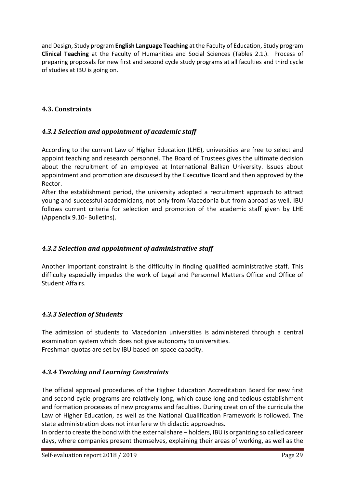and Design, Study program **English Language Teaching** at the Faculty of Education, Study program **Clinical Teaching** at the Faculty of Humanities and Social Sciences (Tables 2.1.). Process of preparing proposals for new first and second cycle study programs at all faculties and third cycle of studies at IBU is going on.

## <span id="page-28-0"></span>**4.3. Constraints**

## <span id="page-28-1"></span>*4.3.1 Selection and appointment of academic staff*

According to the current Law of Higher Education (LHE), universities are free to select and appoint teaching and research personnel. The Board of Trustees gives the ultimate decision about the recruitment of an employee at International Balkan University. Issues about appointment and promotion are discussed by the Executive Board and then approved by the Rector.

After the establishment period, the university adopted a recruitment approach to attract young and successful academicians, not only from Macedonia but from abroad as well. IBU follows current criteria for selection and promotion of the academic staff given by LHE (Appendix 9.10- Bulletins).

## <span id="page-28-2"></span>*4.3.2 Selection and appointment of administrative staff*

Another important constraint is the difficulty in finding qualified administrative staff. This difficulty especially impedes the work of Legal and Personnel Matters Office and Office of Student Affairs.

## <span id="page-28-3"></span>*4.3.3 Selection of Students*

The admission of students to Macedonian universities is administered through a central examination system which does not give autonomy to universities. Freshman quotas are set by IBU based on space capacity.

## <span id="page-28-4"></span>*4.3.4 Teaching and Learning Constraints*

The official approval procedures of the Higher Education Accreditation Board for new first and second cycle programs are relatively long, which cause long and tedious establishment and formation processes of new programs and faculties. During creation of the curricula the Law of Higher Education, as well as the National Qualification Framework is followed. The state administration does not interfere with didactic approaches.

In order to create the bond with the external share – holders, IBU is organizing so called career days, where companies present themselves, explaining their areas of working, as well as the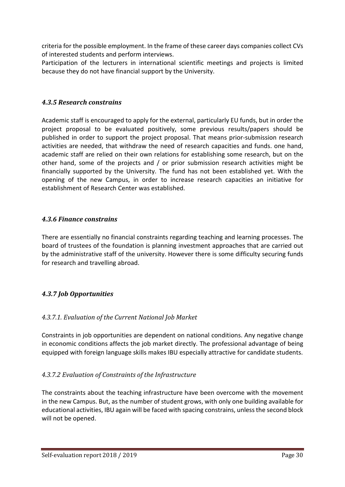criteria for the possible employment. In the frame of these career days companies collect CVs of interested students and perform interviews.

Participation of the lecturers in international scientific meetings and projects is limited because they do not have financial support by the University.

## <span id="page-29-0"></span>*4.3.5 Research constrains*

Academic staff is encouraged to apply for the external, particularly EU funds, but in order the project proposal to be evaluated positively, some previous results/papers should be published in order to support the project proposal. That means prior-submission research activities are needed, that withdraw the need of research capacities and funds. one hand, academic staff are relied on their own relations for establishing some research, but on the other hand, some of the projects and / or prior submission research activities might be financially supported by the University. The fund has not been established yet. With the opening of the new Campus, in order to increase research capacities an initiative for establishment of Research Center was established.

### <span id="page-29-1"></span>*4.3.6 Finance constrains*

There are essentially no financial constraints regarding teaching and learning processes. The board of trustees of the foundation is planning investment approaches that are carried out by the administrative staff of the university. However there is some difficulty securing funds for research and travelling abroad.

## <span id="page-29-2"></span>*4.3.7 Job Opportunities*

## *4.3.7.1. Evaluation of the Current National Job Market*

Constraints in job opportunities are dependent on national conditions. Any negative change in economic conditions affects the job market directly. The professional advantage of being equipped with foreign language skills makes IBU especially attractive for candidate students.

## *4.3.7.2 Evaluation of Constraints of the Infrastructure*

The constraints about the teaching infrastructure have been overcome with the movement in the new Campus. But, as the number of student grows, with only one building available for educational activities, IBU again will be faced with spacing constrains, unless the second block will not be opened.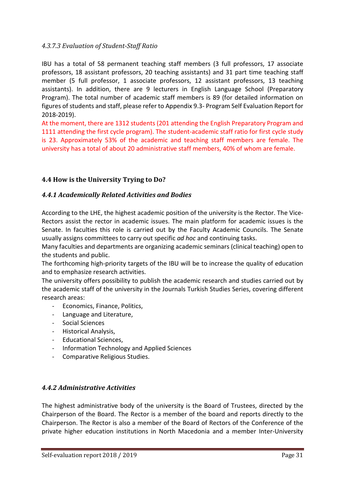### *4.3.7.3 Evaluation of Student-Staff Ratio*

IBU has a total of 58 permanent teaching staff members (3 full professors, 17 associate professors, 18 assistant professors, 20 teaching assistants) and 31 part time teaching staff member (5 full professor, 1 associate professors, 12 assistant professors, 13 teaching assistants). In addition, there are 9 lecturers in English Language School (Preparatory Program). The total number of academic staff members is 89 (for detailed information on figures of students and staff, please refer to Appendix 9.3- Program Self Evaluation Report for 2018-2019).

At the moment, there are 1312 students (201 attending the English Preparatory Program and 1111 attending the first cycle program). The student-academic staff ratio for first cycle study is 23. Approximately 53% of the academic and teaching staff members are female. The university has a total of about 20 administrative staff members, 40% of whom are female.

### <span id="page-30-0"></span>**4.4 How is the University Trying to Do?**

### <span id="page-30-1"></span>*4.4.1 Academically Related Activities and Bodies*

According to the LHE, the highest academic position of the university is the Rector. The Vice-Rectors assist the rector in academic issues. The main platform for academic issues is the Senate. In faculties this role is carried out by the Faculty Academic Councils. The Senate usually assigns committees to carry out specific *ad hoc* and continuing tasks.

Many faculties and departments are organizing academic seminars (clinical teaching) open to the students and public.

The forthcoming high-priority targets of the IBU will be to increase the quality of education and to emphasize research activities.

The university offers possibility to publish the academic research and studies carried out by the academic staff of the university in the Journals Turkish Studies Series, covering different research areas:

- Economics, Finance, Politics,
- Language and Literature,
- Social Sciences
- Historical Analysis,
- Educational Sciences,
- Information Technology and Applied Sciences
- Comparative Religious Studies.

#### <span id="page-30-2"></span>*4.4.2 Administrative Activities*

The highest administrative body of the university is the Board of Trustees, directed by the Chairperson of the Board. The Rector is a member of the board and reports directly to the Chairperson. The Rector is also a member of the Board of Rectors of the Conference of the private higher education institutions in North Macedonia and a member Inter-University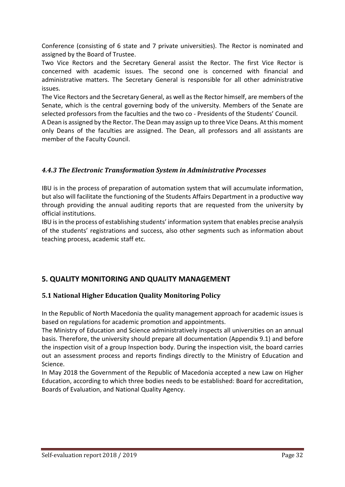Conference (consisting of 6 state and 7 private universities). The Rector is nominated and assigned by the Board of Trustee.

Two Vice Rectors and the Secretary General assist the Rector. The first Vice Rector is concerned with academic issues. The second one is concerned with financial and administrative matters. The Secretary General is responsible for all other administrative issues.

The Vice Rectors and the Secretary General, as well as the Rector himself, are members of the Senate, which is the central governing body of the university. Members of the Senate are selected professors from the faculties and the two co - Presidents of the Students' Council.

A Dean is assigned by the Rector. The Dean may assign up to three Vice Deans. At this moment only Deans of the faculties are assigned. The Dean, all professors and all assistants are member of the Faculty Council.

## <span id="page-31-0"></span>*4.4.3 The Electronic Transformation System in Administrative Processes*

IBU is in the process of preparation of automation system that will accumulate information, but also will facilitate the functioning of the Students Affairs Department in a productive way through providing the annual auditing reports that are requested from the university by official institutions.

IBU is in the process of establishing students' information system that enables precise analysis of the students' registrations and success, also other segments such as information about teaching process, academic staff etc.

## <span id="page-31-1"></span>**5. QUALITY MONITORING AND QUALITY MANAGEMENT**

## <span id="page-31-2"></span>**5.1 National Higher Education Quality Monitoring Policy**

In the Republic of North Macedonia the quality management approach for academic issues is based on regulations for academic promotion and appointments.

The Ministry of Education and Science administratively inspects all universities on an annual basis. Therefore, the university should prepare all documentation (Appendix 9.1) and before the inspection visit of a group Inspection body. During the inspection visit, the board carries out an assessment process and reports findings directly to the Ministry of Education and Science.

<span id="page-31-3"></span>In May 2018 the Government of the Republic of Macedonia accepted a new Law on Higher Education, according to which three bodies needs to be established: Board for accreditation, Boards of Evaluation, and National Quality Agency.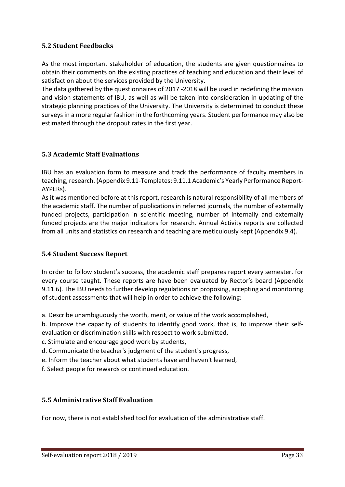## **5.2 Student Feedbacks**

As the most important stakeholder of education, the students are given questionnaires to obtain their comments on the existing practices of teaching and education and their level of satisfaction about the services provided by the University.

The data gathered by the questionnaires of 2017 -2018 will be used in redefining the mission and vision statements of IBU, as well as will be taken into consideration in updating of the strategic planning practices of the University. The University is determined to conduct these surveys in a more regular fashion in the forthcoming years. Student performance may also be estimated through the dropout rates in the first year.

### <span id="page-32-0"></span>**5.3 Academic Staff Evaluations**

IBU has an evaluation form to measure and track the performance of faculty members in teaching, research. (Appendix 9.11-Templates: 9.11.1 Academic's Yearly Performance Report-AYPERs).

As it was mentioned before at this report, research is natural responsibility of all members of the academic staff. The number of publications in referred journals, the number of externally funded projects, participation in scientific meeting, number of internally and externally funded projects are the major indicators for research. Annual Activity reports are collected from all units and statistics on research and teaching are meticulously kept (Appendix 9.4).

#### <span id="page-32-1"></span>**5.4 Student Success Report**

In order to follow student's success, the academic staff prepares report every semester, for every course taught. These reports are have been evaluated by Rector's board (Appendix 9.11.6). The IBU needs to further develop regulations on proposing, accepting and monitoring of student assessments that will help in order to achieve the following:

a. Describe unambiguously the worth, merit, or value of the work accomplished,

b. Improve the capacity of students to identify good work, that is, to improve their selfevaluation or discrimination skills with respect to work submitted,

- c. Stimulate and encourage good work by students,
- d. Communicate the teacher's judgment of the student's progress,
- e. Inform the teacher about what students have and haven't learned,
- f. Select people for rewards or continued education.

#### <span id="page-32-2"></span>**5.5 Administrative Staff Evaluation**

For now, there is not established tool for evaluation of the administrative staff.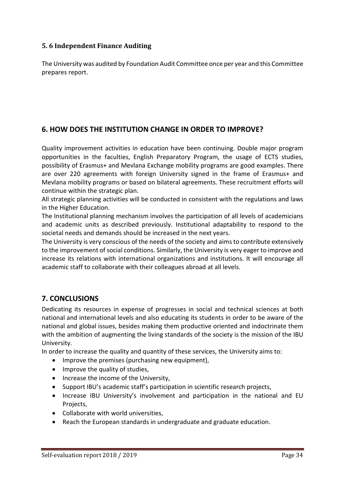## <span id="page-33-0"></span>**5. 6 Independent Finance Auditing**

The University was audited by Foundation Audit Committee once per year and this Committee prepares report.

## <span id="page-33-1"></span>**6. HOW DOES THE INSTITUTION CHANGE IN ORDER TO IMPROVE?**

Quality improvement activities in education have been continuing. Double major program opportunities in the faculties, English Preparatory Program, the usage of ECTS studies, possibility of Erasmus+ and Mevlana Exchange mobility programs are good examples. There are over 220 agreements with foreign University signed in the frame of Erasmus+ and Mevlana mobility programs or based on bilateral agreements. These recruitment efforts will continue within the strategic plan.

All strategic planning activities will be conducted in consistent with the regulations and laws in the Higher Education.

The Institutional planning mechanism involves the participation of all levels of academicians and academic units as described previously. Institutional adaptability to respond to the societal needs and demands should be increased in the next years.

The University is very conscious of the needs of the society and aims to contribute extensively to the improvement of social conditions. Similarly, the University is very eager to improve and increase its relations with international organizations and institutions. It will encourage all academic staff to collaborate with their colleagues abroad at all levels.

## <span id="page-33-2"></span>**7. CONCLUSIONS**

Dedicating its resources in expense of progresses in social and technical sciences at both national and international levels and also educating its students in order to be aware of the national and global issues, besides making them productive oriented and indoctrinate them with the ambition of augmenting the living standards of the society is the mission of the IBU University.

In order to increase the quality and quantity of these services, the University aims to:

- Improve the premises (purchasing new equipment),
- Improve the quality of studies,
- Increase the income of the University,
- Support IBU's academic staff's participation in scientific research projects,
- Increase IBU University's involvement and participation in the national and EU Projects,
- Collaborate with world universities,
- Reach the European standards in undergraduate and graduate education.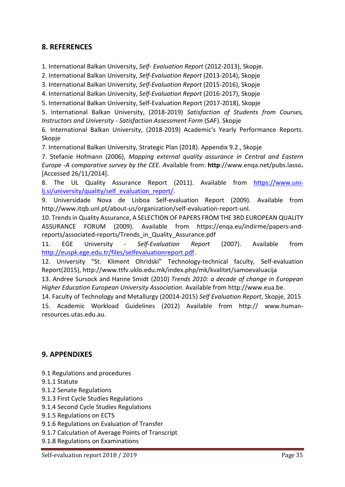## <span id="page-34-0"></span>**8. REFERENCES**

1. International Balkan University, *Self- Evaluation Report* (2012-2013), Skopje.

2. International Balkan University, *Self-Evaluation Report* (2013-2014), Skopje

3. International Balkan University, *Self-Evaluation Report* (2015-2016), Skopje

4. International Balkan University, *Self-Evaluation Report* (2016-2017), Skopje

5. International Balkan University, Self-Evaluation Report (2017-2018), Skopje

5. International Balkan University, (2018-2019) *Satisfaction of Students from Courses, Instructors and University - Satisfaction Assessment Form* (SAF). Skopje

6. International Balkan University, (2018-2019) Academic's Yearly Performance Reports. Skopje

7. International Balkan University, Strategic Plan (2018). Appendix 9.2., Skopje

7. Stefanie Hofmann (2006), *Mapping external quality assurance in Central and Eastern Europe -A comparative survey by the CEE. A*vailable from: **http**://www.enqa.net/pubs.lasso**.**  [Accessed 26/11/2014].

8. The UL Quality Assurance Report (2011). Available from [https://www.uni](https://www.uni-lj.si/university/quality/self_evaluation_report/)[lj.si/university/quality/self\\_evaluation\\_report/.](https://www.uni-lj.si/university/quality/self_evaluation_report/)

9. Universidade Nova de Lisboa Self-evaluation Report (2009). Available from http://www.itqb.unl.pt/about-us/organization/self-evaluation-report-unl.

10. Trends in Quality Assurance, A SELECTION OF PAPERS FROM THE 3RD EUROPEAN QUALITY ASSURANCE FORUM (2009). Available from https://enqa.eu/indirme/papers-andreports/associated-reports/Trends\_in\_Quality\_Assurance.pdf

11. EGE University - *Self-Evaluation Report* (2007). Available from [http://euspk.ege.edu.tr/files/selfevaluationreport.pdf.](http://euspk.ege.edu.tr/files/selfevaluationreport.pdf)

12. University "St. Kliment Ohridski" Technology-technical faculty, Self-evaluation Report(2015), http://www.ttfv.uklo.edu.mk/index.php/mk/kvalitet/samoevaluacija

13. Andree Sursock and Hanne Smidt (2010) *Trends 2010: a decade of change in European Higher Education European University Association.* Available from http://www.eua.be.

14. Faculty of Technology and Metallurgy (20014-2015) *Self Evaluation Report*, Skopje, 2015 15. Academic Workload Guidelines (2012) Available from http:// www.humanresources.utas.edu.au.

## <span id="page-34-1"></span>**9. APPENDIXES**

- 9.1 Regulations and procedures
- 9.1.1 Statute
- 9.1.2 Senate Regulations
- 9.1.3 First Cycle Studies Regulations
- 9.1.4 Second Cycle Studies Regulations
- 9.1.5 Regulations on ECTS
- 9.1.6 Regulations on Evaluation of Transfer
- 9.1.7 Calculation of Average Points of Transcript
- 9.1.8 Regulations on Examinations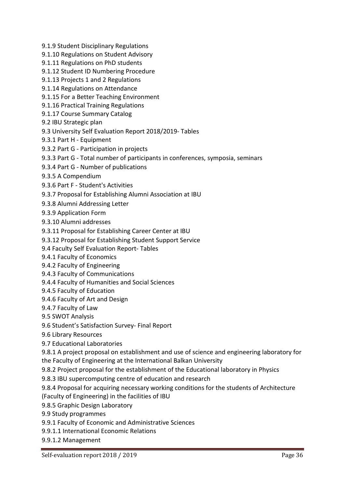- 9.1.9 Student Disciplinary Regulations
- 9.1.10 Regulations on Student Advisory
- 9.1.11 Regulations on PhD students
- 9.1.12 Student ID Numbering Procedure
- 9.1.13 Projects 1 and 2 Regulations
- 9.1.14 Regulations on Attendance
- 9.1.15 For a Better Teaching Environment
- 9.1.16 Practical Training Regulations
- 9.1.17 Course Summary Catalog
- 9.2 IBU Strategic plan
- 9.3 University Self Evaluation Report 2018/2019- Tables
- 9.3.1 Part H Equipment
- 9.3.2 Part G Participation in projects
- 9.3.3 Part G Total number of participants in conferences, symposia, seminars
- 9.3.4 Part G Number of publications
- 9.3.5 A Compendium
- 9.3.6 Part F Student's Activities
- 9.3.7 Proposal for Establishing Alumni Association at IBU
- 9.3.8 Alumni Addressing Letter
- 9.3.9 Application Form
- 9.3.10 Alumni addresses
- 9.3.11 Proposal for Establishing Career Center at IBU
- 9.3.12 Proposal for Establishing Student Support Service
- 9.4 Faculty Self Evaluation Report- Tables
- 9.4.1 Faculty of Economics
- 9.4.2 Faculty of Engineering
- 9.4.3 Faculty of Communications
- 9.4.4 Faculty of Humanities and Social Sciences
- 9.4.5 Faculty of Education
- 9.4.6 Faculty of Art and Design
- 9.4.7 Faculty of Law
- 9.5 SWOT Analysis
- 9.6 Student's Satisfaction Survey- Final Report
- 9.6 Library Resources
- 9.7 Educational Laboratories

9.8.1 A project proposal on establishment and use of science and engineering laboratory for the Faculty of Engineering at the International Balkan University

9.8.2 Project proposal for the establishment of the Educational laboratory in Physics

- 9.8.3 IBU supercomputing centre of education and research
- 9.8.4 Proposal for acquiring necessary working conditions for the students of Architecture (Faculty of Engineering) in the facilities of IBU
- 9.8.5 Graphic Design Laboratory

9.9 Study programmes

- 9.9.1 Faculty of Economic and Administrative Sciences
- 9.9.1.1 International Economic Relations

9.9.1.2 Management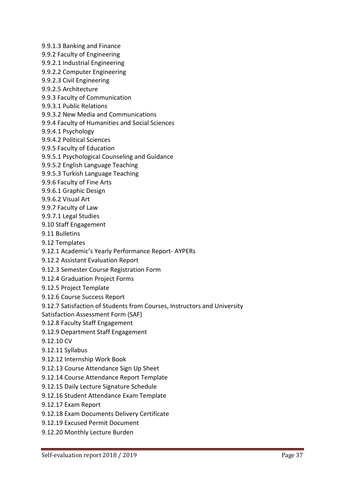- 9.9.1.3 Banking and Finance
- 9.9.2 Faculty of Engineering
- 9.9.2.1 Industrial Engineering
- 9.9.2.2 Computer Engineering
- 9.9.2.3 Civil Engineering
- 9.9.2.5 Architecture
- 9.9.3 Faculty of Communication
- 9.9.3.1 Public Relations
- 9.9.3.2 New Media and Communications
- 9.9.4 Faculty of Humanities and Social Sciences
- 9.9.4.1 Psychology
- 9.9.4.2 Political Sciences
- 9.9.5 Faculty of Education
- 9.9.5.1 Psychological Counseling and Guidance
- 9.9.5.2 English Language Teaching
- 9.9.5.3 Turkish Language Teaching
- 9.9.6 Faculty of Fine Arts
- 9.9.6.1 Graphic Design
- 9.9.6.2 Visual Art
- 9.9.7 Faculty of Law
- 9.9.7.1 Legal Studies
- 9.10 Staff Engagement
- 9.11 Bulletins
- 9.12 Templates
- 9.12.1 Academic's Yearly Performance Report- AYPERs
- 9.12.2 Assistant Evaluation Report
- 9.12.3 Semester Course Registration Form
- 9.12.4 Graduation Project Forms
- 9.12.5 Project Template
- 9.12.6 Course Success Report
- 9.12.7 Satisfaction of Students from Courses, Instructors and University
- Satisfaction Assessment Form (SAF)
- 9.12.8 Faculty Staff Engagement
- 9.12.9 Department Staff Engagement
- 9.12.10 CV
- 9.12.11 Syllabus
- 9.12.12 Internship Work Book
- 9.12.13 Course Attendance Sign Up Sheet
- 9.12.14 Course Attendance Report Template
- 9.12.15 Daily Lecture Signature Schedule
- 9.12.16 Student Attendance Exam Template
- 9.12.17 Exam Report
- 9.12.18 Exam Documents Delivery Certificate
- 9.12.19 Excused Permit Document
- 9.12.20 Monthly Lecture Burden